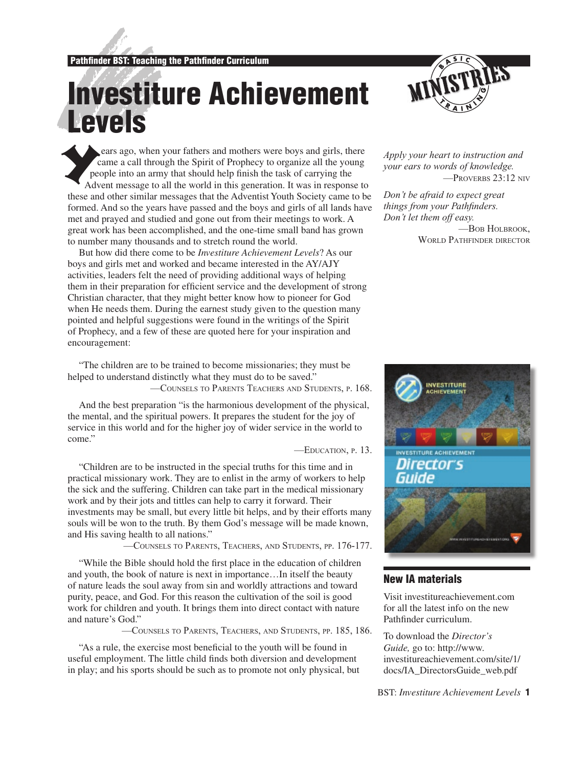### Pathfinder BST: Teaching the Pathfinder Curriculum

# Investiture Achievement Levels

Ne pe ears ago, when your fathers and mothers were boys and girls, there came a call through the Spirit of Prophecy to organize all the young people into an army that should help finish the task of carrying the Advent message to all the world in this generation. It was in response to these and other similar messages that the Adventist Youth Society came to be formed. And so the years have passed and the boys and girls of all lands have met and prayed and studied and gone out from their meetings to work. A great work has been accomplished, and the one-time small band has grown to number many thousands and to stretch round the world.

But how did there come to be *Investiture Achievement Levels*? As our boys and girls met and worked and became interested in the AY/AJY activities, leaders felt the need of providing additional ways of helping them in their preparation for efficient service and the development of strong Christian character, that they might better know how to pioneer for God when He needs them. During the earnest study given to the question many pointed and helpful suggestions were found in the writings of the Spirit of Prophecy, and a few of these are quoted here for your inspiration and encouragement:

"The children are to be trained to become missionaries; they must be helped to understand distinctly what they must do to be saved." —COUNSELS TO PARENTS TEACHERS AND STUDENTS, P. 168.

And the best preparation "is the harmonious development of the physical, the mental, and the spiritual powers. It prepares the student for the joy of service in this world and for the higher joy of wider service in the world to come."

—EDUCATION, P. 13.

"Children are to be instructed in the special truths for this time and in practical missionary work. They are to enlist in the army of workers to help the sick and the suffering. Children can take part in the medical missionary work and by their jots and tittles can help to carry it forward. Their investments may be small, but every little bit helps, and by their efforts many souls will be won to the truth. By them God's message will be made known, and His saving health to all nations."

—COUNSELS TO PARENTS, TEACHERS, AND STUDENTS, PP. 176-177.

"While the Bible should hold the first place in the education of children and youth, the book of nature is next in importance…In itself the beauty of nature leads the soul away from sin and worldly attractions and toward purity, peace, and God. For this reason the cultivation of the soil is good work for children and youth. It brings them into direct contact with nature and nature's God."

—COUNSELS TO PARENTS, TEACHERS, AND STUDENTS, PP. 185, 186.

"As a rule, the exercise most beneficial to the youth will be found in useful employment. The little child finds both diversion and development in play; and his sports should be such as to promote not only physical, but



*Apply your heart to instruction and your ears to words of knowledge.* —PROVERBS 23:12 NIV

*Don't be afraid to expect great things from your Pathfinders. Don't let them off easy.* 

—BOB HOLBROOK, WORLD PATHFINDER DIRECTOR



### New IA materials

Visit investitureachievement.com for all the latest info on the new Pathfinder curriculum.

To download the *Director's Guide,* go to: http://www. investitureachievement.com/site/1/ docs/IA\_DirectorsGuide\_web.pdf

BST: *Investiture Achievement Levels* 1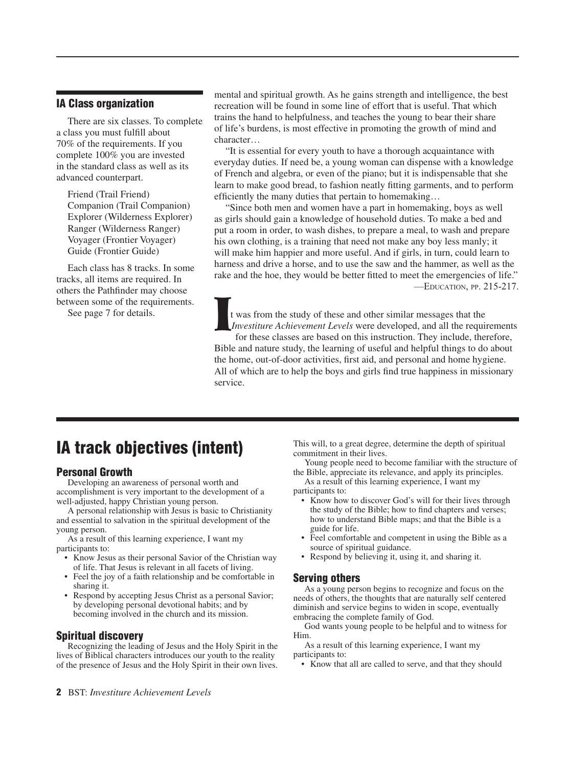### IA Class organization

There are six classes. To complete a class you must fulfill about 70% of the requirements. If you complete 100% you are invested in the standard class as well as its advanced counterpart.

Friend (Trail Friend) Companion (Trail Companion) Explorer (Wilderness Explorer) Ranger (Wilderness Ranger) Voyager (Frontier Voyager) Guide (Frontier Guide)

Each class has 8 tracks. In some tracks, all items are required. In others the Pathfinder may choose between some of the requirements. See page 7 for details.

mental and spiritual growth. As he gains strength and intelligence, the best recreation will be found in some line of effort that is useful. That which trains the hand to helpfulness, and teaches the young to bear their share of life's burdens, is most effective in promoting the growth of mind and character…

"It is essential for every youth to have a thorough acquaintance with everyday duties. If need be, a young woman can dispense with a knowledge of French and algebra, or even of the piano; but it is indispensable that she learn to make good bread, to fashion neatly fitting garments, and to perform efficiently the many duties that pertain to homemaking…

"Since both men and women have a part in homemaking, boys as well as girls should gain a knowledge of household duties. To make a bed and put a room in order, to wash dishes, to prepare a meal, to wash and prepare his own clothing, is a training that need not make any boy less manly; it will make him happier and more useful. And if girls, in turn, could learn to harness and drive a horse, and to use the saw and the hammer, as well as the rake and the hoe, they would be better fitted to meet the emergencies of life." —EDUCATION, PP. 215-217.

 t was from the study of these and other similar messages that the *Investiture Achievement Levels* were developed, and all the requirements for these classes are based on this instruction. They include, therefore, Bible and nature study, the learning of useful and helpful things to do about I

the home, out-of-door activities, first aid, and personal and home hygiene. All of which are to help the boys and girls find true happiness in missionary service.

# IA track objectives (intent)

### Personal Growth

Developing an awareness of personal worth and accomplishment is very important to the development of a well-adjusted, happy Christian young person.

A personal relationship with Jesus is basic to Christianity and essential to salvation in the spiritual development of the young person.

As a result of this learning experience, I want my participants to:

- Know Jesus as their personal Savior of the Christian way of life. That Jesus is relevant in all facets of living.
- Feel the joy of a faith relationship and be comfortable in sharing it.
- Respond by accepting Jesus Christ as a personal Savior; by developing personal devotional habits; and by becoming involved in the church and its mission.

### Spiritual discovery

Recognizing the leading of Jesus and the Holy Spirit in the lives of Biblical characters introduces our youth to the reality of the presence of Jesus and the Holy Spirit in their own lives.

This will, to a great degree, determine the depth of spiritual commitment in their lives.

Young people need to become familiar with the structure of the Bible, appreciate its relevance, and apply its principles.

- As a result of this learning experience, I want my participants to:
	- Know how to discover God's will for their lives through the study of the Bible; how to find chapters and verses; how to understand Bible maps; and that the Bible is a guide for life.
	- Feel comfortable and competent in using the Bible as a source of spiritual guidance.
	- Respond by believing it, using it, and sharing it.

### Serving others

As a young person begins to recognize and focus on the needs of others, the thoughts that are naturally self centered diminish and service begins to widen in scope, eventually embracing the complete family of God.

God wants young people to be helpful and to witness for Him.

As a result of this learning experience, I want my participants to:

• Know that all are called to serve, and that they should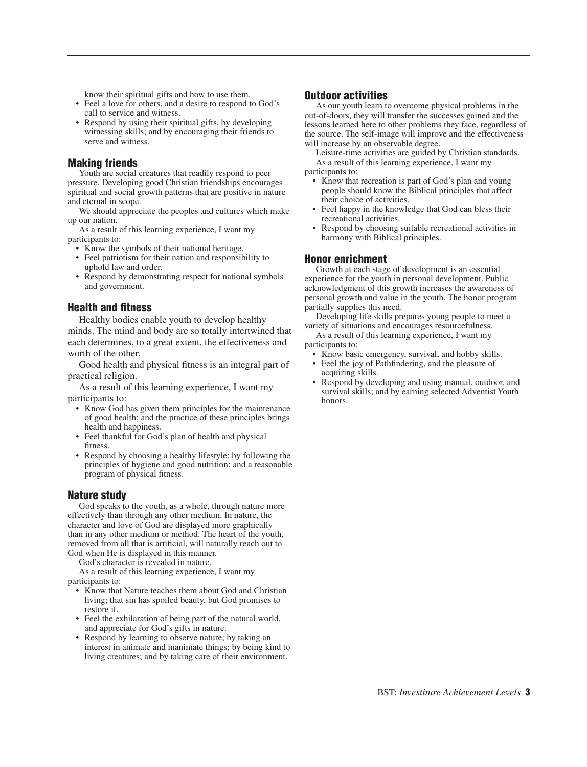know their spiritual gifts and how to use them.

- Feel a love for others, and a desire to respond to God's call to service and witness.
- Respond by using their spiritual gifts, by developing witnessing skills; and by encouraging their friends to serve and witness.

### Making friends

Youth are social creatures that readily respond to peer pressure. Developing good Christian friendships encourages spiritual and social growth patterns that are positive in nature and eternal in scope.

We should appreciate the peoples and cultures which make up our nation.

As a result of this learning experience, I want my participants to:

- Know the symbols of their national heritage.
- Feel patriotism for their nation and responsibility to uphold law and order.
- Respond by demonstrating respect for national symbols and government.

### Health and fitness

Healthy bodies enable youth to develop healthy minds. The mind and body are so totally intertwined that each determines, to a great extent, the effectiveness and worth of the other.

Good health and physical fitness is an integral part of practical religion.

As a result of this learning experience, I want my participants to:

- Know God has given them principles for the maintenance of good health; and the practice of these principles brings health and happiness.
- Feel thankful for God's plan of health and physical fitness.
- Respond by choosing a healthy lifestyle; by following the principles of hygiene and good nutrition; and a reasonable program of physical fitness.

### Nature study

God speaks to the youth, as a whole, through nature more effectively than through any other medium. In nature, the character and love of God are displayed more graphically than in any other medium or method. The heart of the youth, removed from all that is artificial, will naturally reach out to God when He is displayed in this manner.

God's character is revealed in nature.

As a result of this learning experience, I want my participants to:

- Know that Nature teaches them about God and Christian living; that sin has spoiled beauty, but God promises to restore it.
- Feel the exhilaration of being part of the natural world, and appreciate for God's gifts in nature.
- Respond by learning to observe nature; by taking an interest in animate and inanimate things; by being kind to living creatures; and by taking care of their environment.

### Outdoor activities

As our youth learn to overcome physical problems in the out-of-doors, they will transfer the successes gained and the lessons learned here to other problems they face, regardless of the source. The self-image will improve and the effectiveness will increase by an observable degree.

Leisure-time activities are guided by Christian standards. As a result of this learning experience, I want my

- participants to:
	- Know that recreation is part of God's plan and young people should know the Biblical principles that affect their choice of activities.
	- Feel happy in the knowledge that God can bless their recreational activities.
	- Respond by choosing suitable recreational activities in harmony with Biblical principles.

### Honor enrichment

Growth at each stage of development is an essential experience for the youth in personal development. Public acknowledgment of this growth increases the awareness of personal growth and value in the youth. The honor program partially supplies this need.

Developing life skills prepares young people to meet a variety of situations and encourages resourcefulness.

As a result of this learning experience, I want my participants to:

- Know basic emergency, survival, and hobby skills. • Feel the joy of Pathfindering, and the pleasure of
- acquiring skills. • Respond by developing and using manual, outdoor, and survival skills; and by earning selected Adventist Youth honors.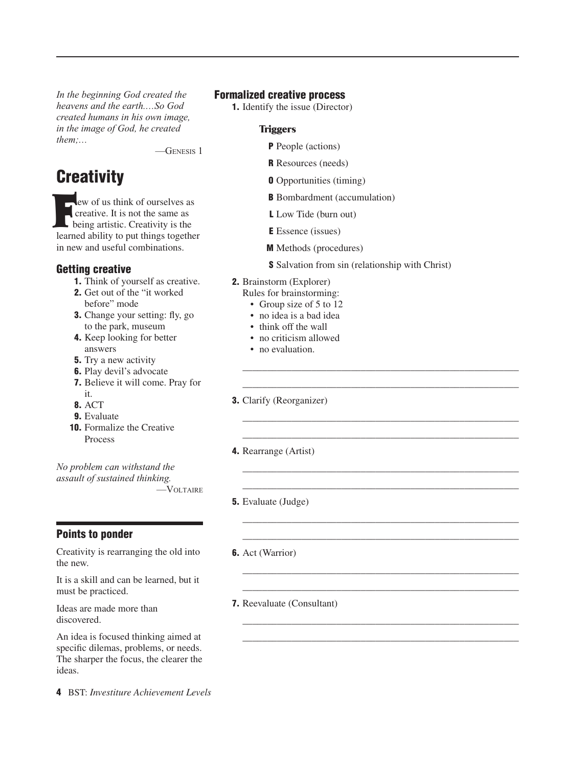*In the beginning God created the heavens and the earth.…So God created humans in his own image, in the image of God, he created them;…*

—GENESIS 1

# **Creativity**

ew of us think of ourselves as<br>creative. It is not the same as<br>being artistic. Creativity is the ew of us think of ourselves as creative. It is not the same as learned ability to put things together in new and useful combinations.

### Getting creative

- 1. Think of yourself as creative.
- 2. Get out of the "it worked before" mode
- 3. Change your setting: fly, go to the park, museum
- 4. Keep looking for better answers
- 5. Try a new activity
- 6. Play devil's advocate
- 7. Believe it will come. Pray for it.
- 8. ACT
- 9. Evaluate
- 10. Formalize the Creative Process

*No problem can withstand the assault of sustained thinking.* —VOLTAIRE

# Points to ponder

Creativity is rearranging the old into the new.

It is a skill and can be learned, but it must be practiced.

Ideas are made more than discovered.

An idea is focused thinking aimed at specific dilemas, problems, or needs. The sharper the focus, the clearer the ideas.

4 BST: *Investiture Achievement Levels*

### Formalized creative process

1. Identify the issue (Director)

### **Triggers**

- P People (actions)
- R Resources (needs)
- O Opportunities (timing)
- **B** Bombardment (accumulation)
- L Low Tide (burn out)
- E Essence (issues)
- M Methods (procedures)
- S Salvation from sin (relationship with Christ)

 \_\_\_\_\_\_\_\_\_\_\_\_\_\_\_\_\_\_\_\_\_\_\_\_\_\_\_\_\_\_\_\_\_\_\_\_\_\_\_\_\_\_\_\_\_\_\_\_\_\_\_\_\_\_\_\_ \_\_\_\_\_\_\_\_\_\_\_\_\_\_\_\_\_\_\_\_\_\_\_\_\_\_\_\_\_\_\_\_\_\_\_\_\_\_\_\_\_\_\_\_\_\_\_\_\_\_\_\_\_\_\_\_

 \_\_\_\_\_\_\_\_\_\_\_\_\_\_\_\_\_\_\_\_\_\_\_\_\_\_\_\_\_\_\_\_\_\_\_\_\_\_\_\_\_\_\_\_\_\_\_\_\_\_\_\_\_\_\_\_ \_\_\_\_\_\_\_\_\_\_\_\_\_\_\_\_\_\_\_\_\_\_\_\_\_\_\_\_\_\_\_\_\_\_\_\_\_\_\_\_\_\_\_\_\_\_\_\_\_\_\_\_\_\_\_\_

 \_\_\_\_\_\_\_\_\_\_\_\_\_\_\_\_\_\_\_\_\_\_\_\_\_\_\_\_\_\_\_\_\_\_\_\_\_\_\_\_\_\_\_\_\_\_\_\_\_\_\_\_\_\_\_\_ \_\_\_\_\_\_\_\_\_\_\_\_\_\_\_\_\_\_\_\_\_\_\_\_\_\_\_\_\_\_\_\_\_\_\_\_\_\_\_\_\_\_\_\_\_\_\_\_\_\_\_\_\_\_\_\_

 \_\_\_\_\_\_\_\_\_\_\_\_\_\_\_\_\_\_\_\_\_\_\_\_\_\_\_\_\_\_\_\_\_\_\_\_\_\_\_\_\_\_\_\_\_\_\_\_\_\_\_\_\_\_\_\_ \_\_\_\_\_\_\_\_\_\_\_\_\_\_\_\_\_\_\_\_\_\_\_\_\_\_\_\_\_\_\_\_\_\_\_\_\_\_\_\_\_\_\_\_\_\_\_\_\_\_\_\_\_\_\_\_

 \_\_\_\_\_\_\_\_\_\_\_\_\_\_\_\_\_\_\_\_\_\_\_\_\_\_\_\_\_\_\_\_\_\_\_\_\_\_\_\_\_\_\_\_\_\_\_\_\_\_\_\_\_\_\_\_ \_\_\_\_\_\_\_\_\_\_\_\_\_\_\_\_\_\_\_\_\_\_\_\_\_\_\_\_\_\_\_\_\_\_\_\_\_\_\_\_\_\_\_\_\_\_\_\_\_\_\_\_\_\_\_\_

 \_\_\_\_\_\_\_\_\_\_\_\_\_\_\_\_\_\_\_\_\_\_\_\_\_\_\_\_\_\_\_\_\_\_\_\_\_\_\_\_\_\_\_\_\_\_\_\_\_\_\_\_\_\_\_\_ \_\_\_\_\_\_\_\_\_\_\_\_\_\_\_\_\_\_\_\_\_\_\_\_\_\_\_\_\_\_\_\_\_\_\_\_\_\_\_\_\_\_\_\_\_\_\_\_\_\_\_\_\_\_\_\_

- 2. Brainstorm (Explorer)
	- Rules for brainstorming:
	- Group size of 5 to 12
	- no idea is a bad idea
	- think off the wall
	- no criticism allowed
	- no evaluation.

3. Clarify (Reorganizer)

- 4. Rearrange (Artist)
- 5. Evaluate (Judge)
- 6. Act (Warrior)

7. Reevaluate (Consultant)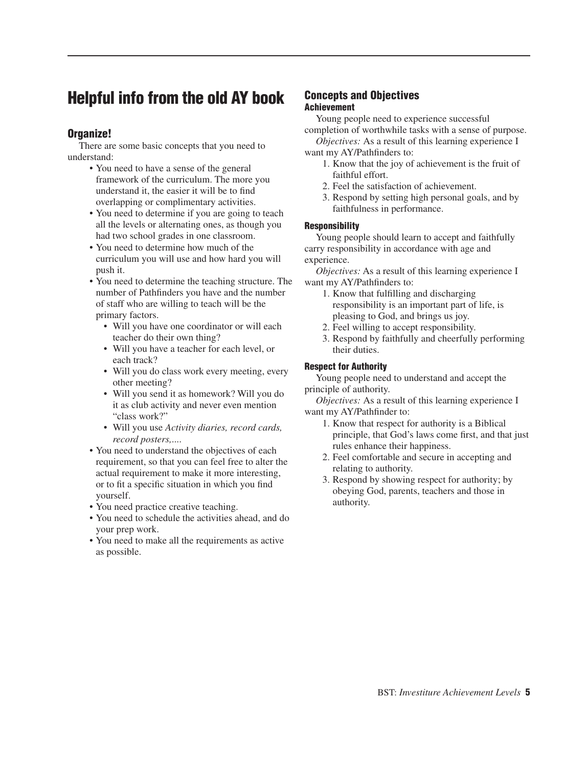# Helpful info from the old AY book

# Organize!

There are some basic concepts that you need to understand:

- You need to have a sense of the general framework of the curriculum. The more you understand it, the easier it will be to find overlapping or complimentary activities.
- You need to determine if you are going to teach all the levels or alternating ones, as though you had two school grades in one classroom.
- You need to determine how much of the curriculum you will use and how hard you will push it.
- You need to determine the teaching structure. The number of Pathfinders you have and the number of staff who are willing to teach will be the primary factors.
	- Will you have one coordinator or will each teacher do their own thing?
	- Will you have a teacher for each level, or each track?
	- Will you do class work every meeting, every other meeting?
	- Will you send it as homework? Will you do it as club activity and never even mention "class work?"
	- Will you use *Activity diaries, record cards, record posters,*....
- You need to understand the objectives of each requirement, so that you can feel free to alter the actual requirement to make it more interesting, or to fit a specific situation in which you find yourself.
- You need practice creative teaching.
- You need to schedule the activities ahead, and do your prep work.
- You need to make all the requirements as active as possible.

### Concepts and Objectives Achievement

Young people need to experience successful

completion of worthwhile tasks with a sense of purpose. *Objectives:* As a result of this learning experience I

want my AY/Pathfinders to:

- 1. Know that the joy of achievement is the fruit of faithful effort.
- 2. Feel the satisfaction of achievement.
- 3. Respond by setting high personal goals, and by faithfulness in performance.

### **Responsibility**

Young people should learn to accept and faithfully carry responsibility in accordance with age and experience.

*Objectives:* As a result of this learning experience I want my AY/Pathfinders to:

- 1. Know that fulfilling and discharging responsibility is an important part of life, is pleasing to God, and brings us joy.
- 2. Feel willing to accept responsibility.
- 3. Respond by faithfully and cheerfully performing their duties.

### Respect for Authority

Young people need to understand and accept the principle of authority.

*Objectives:* As a result of this learning experience I want my AY/Pathfinder to:

- 1. Know that respect for authority is a Biblical principle, that God's laws come first, and that just rules enhance their happiness.
- 2. Feel comfortable and secure in accepting and relating to authority.
- 3. Respond by showing respect for authority; by obeying God, parents, teachers and those in authority.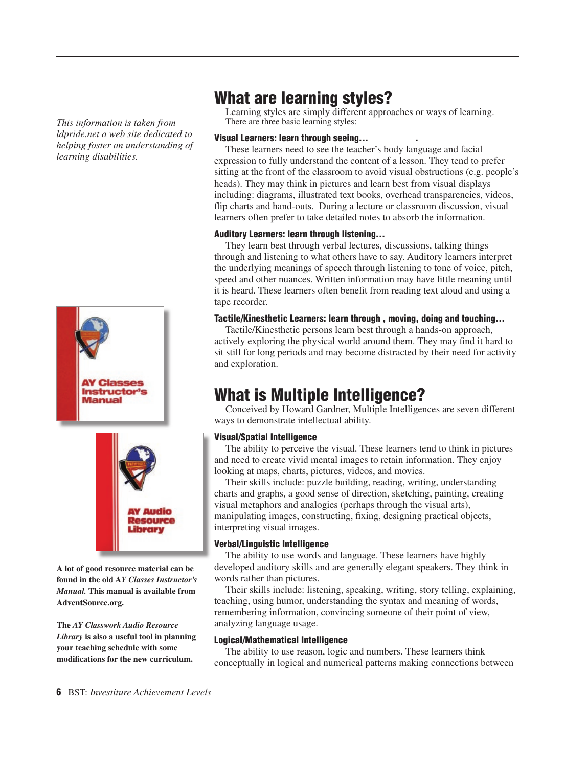*This information is taken from ldpride.net a web site dedicated to helping foster an understanding of learning disabilities.*





**A lot of good resource material can be found in the old A***Y Classes Instructor's Manual.* **This manual is available from AdventSource.org.**

**The** *AY Classwork Audio Resource Library* **is also a useful tool in planning your teaching schedule with some**  modifications for the new curriculum.

# What are learning styles?

Learning styles are simply different approaches or ways of learning. There are three basic learning styles:

### Visual Learners: learn through seeing... .

These learners need to see the teacher's body language and facial expression to fully understand the content of a lesson. They tend to prefer sitting at the front of the classroom to avoid visual obstructions (e.g. people's heads). They may think in pictures and learn best from visual displays including: diagrams, illustrated text books, overhead transparencies, videos, flip charts and hand-outs. During a lecture or classroom discussion, visual learners often prefer to take detailed notes to absorb the information.

### Auditory Learners: learn through listening...

They learn best through verbal lectures, discussions, talking things through and listening to what others have to say. Auditory learners interpret the underlying meanings of speech through listening to tone of voice, pitch, speed and other nuances. Written information may have little meaning until it is heard. These learners often benefit from reading text aloud and using a tape recorder.

### Tactile/Kinesthetic Learners: learn through , moving, doing and touching...

Tactile/Kinesthetic persons learn best through a hands-on approach, actively exploring the physical world around them. They may find it hard to sit still for long periods and may become distracted by their need for activity and exploration.

# What is Multiple Intelligence?

Conceived by Howard Gardner, Multiple Intelligences are seven different ways to demonstrate intellectual ability.

### Visual/Spatial Intelligence

The ability to perceive the visual. These learners tend to think in pictures and need to create vivid mental images to retain information. They enjoy looking at maps, charts, pictures, videos, and movies.

Their skills include: puzzle building, reading, writing, understanding charts and graphs, a good sense of direction, sketching, painting, creating visual metaphors and analogies (perhaps through the visual arts), manipulating images, constructing, fixing, designing practical objects, interpreting visual images.

### Verbal/Linguistic Intelligence

The ability to use words and language. These learners have highly developed auditory skills and are generally elegant speakers. They think in words rather than pictures.

Their skills include: listening, speaking, writing, story telling, explaining, teaching, using humor, understanding the syntax and meaning of words, remembering information, convincing someone of their point of view, analyzing language usage.

### Logical/Mathematical Intelligence

The ability to use reason, logic and numbers. These learners think conceptually in logical and numerical patterns making connections between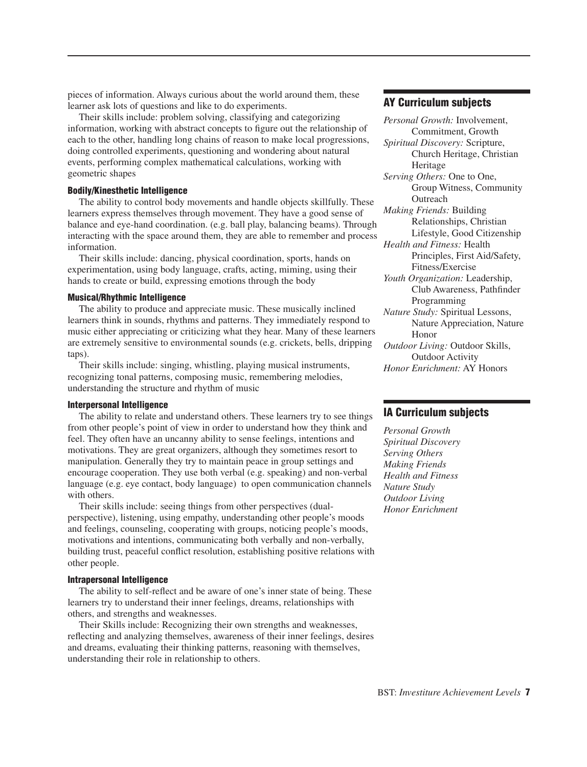pieces of information. Always curious about the world around them, these learner ask lots of questions and like to do experiments.

Their skills include: problem solving, classifying and categorizing information, working with abstract concepts to figure out the relationship of each to the other, handling long chains of reason to make local progressions, doing controlled experiments, questioning and wondering about natural events, performing complex mathematical calculations, working with geometric shapes

### Bodily/Kinesthetic Intelligence

The ability to control body movements and handle objects skillfully. These learners express themselves through movement. They have a good sense of balance and eye-hand coordination. (e.g. ball play, balancing beams). Through interacting with the space around them, they are able to remember and process information.

Their skills include: dancing, physical coordination, sports, hands on experimentation, using body language, crafts, acting, miming, using their hands to create or build, expressing emotions through the body

#### Musical/Rhythmic Intelligence

The ability to produce and appreciate music. These musically inclined learners think in sounds, rhythms and patterns. They immediately respond to music either appreciating or criticizing what they hear. Many of these learners are extremely sensitive to environmental sounds (e.g. crickets, bells, dripping taps).

Their skills include: singing, whistling, playing musical instruments, recognizing tonal patterns, composing music, remembering melodies, understanding the structure and rhythm of music

#### Interpersonal Intelligence

The ability to relate and understand others. These learners try to see things from other people's point of view in order to understand how they think and feel. They often have an uncanny ability to sense feelings, intentions and motivations. They are great organizers, although they sometimes resort to manipulation. Generally they try to maintain peace in group settings and encourage cooperation. They use both verbal (e.g. speaking) and non-verbal language (e.g. eye contact, body language) to open communication channels with others.

Their skills include: seeing things from other perspectives (dualperspective), listening, using empathy, understanding other people's moods and feelings, counseling, cooperating with groups, noticing people's moods, motivations and intentions, communicating both verbally and non-verbally, building trust, peaceful conflict resolution, establishing positive relations with other people.

#### Intrapersonal Intelligence

The ability to self-reflect and be aware of one's inner state of being. These learners try to understand their inner feelings, dreams, relationships with others, and strengths and weaknesses.

Their Skills include: Recognizing their own strengths and weaknesses, reflecting and analyzing themselves, awareness of their inner feelings, desires and dreams, evaluating their thinking patterns, reasoning with themselves, understanding their role in relationship to others.

### AY Curriculum subjects

- *Personal Growth:* Involvement, Commitment, Growth *Spiritual Discovery:* Scripture, Church Heritage, Christian Heritage *Serving Others:* One to One, Group Witness, Community **Outreach** *Making Friends:* Building Relationships, Christian Lifestyle, Good Citizenship *Health and Fitness:* Health Principles, First Aid/Safety, Fitness/Exercise *Youth Organization:* Leadership, Club Awareness, Pathfinder Programming *Nature Study:* Spiritual Lessons, Nature Appreciation, Nature Honor *Outdoor Living:* Outdoor Skills, Outdoor Activity
- *Honor Enrichment:* AY Honors

### IA Curriculum subjects

*Personal Growth Spiritual Discovery Serving Others Making Friends Health and Fitness Nature Study Outdoor Living Honor Enrichment*